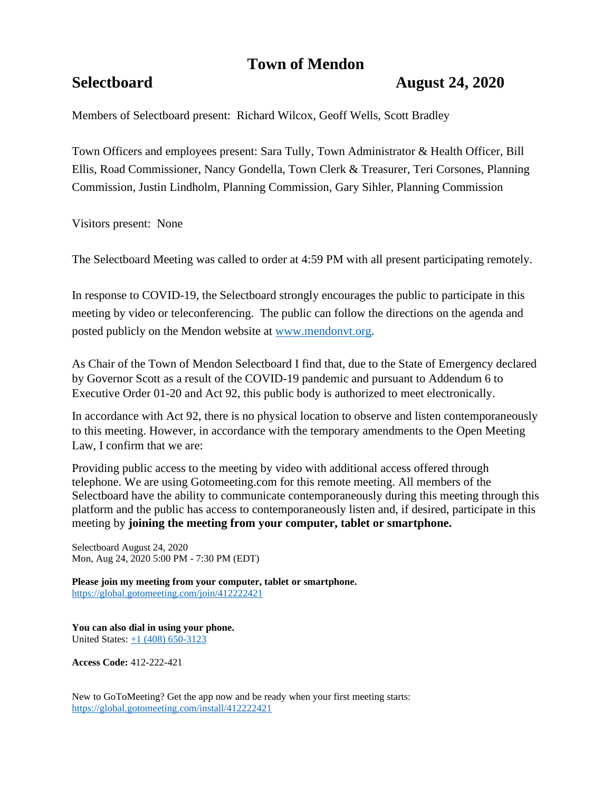# **Town of Mendon**

## **Selectboard August 24, 2020**

Members of Selectboard present: Richard Wilcox, Geoff Wells, Scott Bradley

Town Officers and employees present: Sara Tully, Town Administrator & Health Officer, Bill Ellis, Road Commissioner, Nancy Gondella, Town Clerk & Treasurer, Teri Corsones, Planning Commission, Justin Lindholm, Planning Commission, Gary Sihler, Planning Commission

Visitors present: None

The Selectboard Meeting was called to order at 4:59 PM with all present participating remotely.

In response to COVID-19, the Selectboard strongly encourages the public to participate in this meeting by video or teleconferencing. The public can follow the directions on the agenda and posted publicly on the Mendon website at [www.mendonvt.org.](http://www.mendonvt.org/)

As Chair of the Town of Mendon Selectboard I find that, due to the State of Emergency declared by Governor Scott as a result of the COVID-19 pandemic and pursuant to Addendum 6 to Executive Order 01-20 and Act 92, this public body is authorized to meet electronically.

In accordance with Act 92, there is no physical location to observe and listen contemporaneously to this meeting. However, in accordance with the temporary amendments to the Open Meeting Law, I confirm that we are:

Providing public access to the meeting by video with additional access offered through telephone. We are using Gotomeeting.com for this remote meeting. All members of the Selectboard have the ability to communicate contemporaneously during this meeting through this platform and the public has access to contemporaneously listen and, if desired, participate in this meeting by **joining the meeting from your computer, tablet or smartphone.** 

Selectboard August 24, 2020 Mon, Aug 24, 2020 5:00 PM - 7:30 PM (EDT)

**Please join my meeting from your computer, tablet or smartphone.**  <https://global.gotomeeting.com/join/412222421>

**You can also dial in using your phone.** United States: [+1 \(408\) 650-3123](tel:+14086503123,,412222421)

**Access Code:** 412-222-421

New to GoToMeeting? Get the app now and be ready when your first meeting starts: <https://global.gotomeeting.com/install/412222421>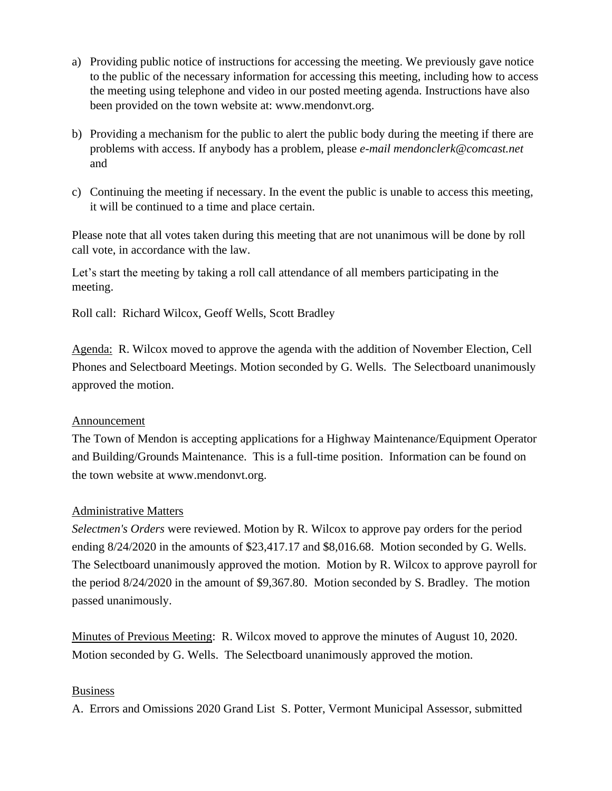- a) Providing public notice of instructions for accessing the meeting. We previously gave notice to the public of the necessary information for accessing this meeting, including how to access the meeting using telephone and video in our posted meeting agenda. Instructions have also been provided on the town website at: www.mendonvt.org.
- b) Providing a mechanism for the public to alert the public body during the meeting if there are problems with access. If anybody has a problem, please *e-mail mendonclerk@comcast.net* and
- c) Continuing the meeting if necessary. In the event the public is unable to access this meeting, it will be continued to a time and place certain.

Please note that all votes taken during this meeting that are not unanimous will be done by roll call vote, in accordance with the law.

Let's start the meeting by taking a roll call attendance of all members participating in the meeting.

Roll call: Richard Wilcox, Geoff Wells, Scott Bradley

Agenda: R. Wilcox moved to approve the agenda with the addition of November Election, Cell Phones and Selectboard Meetings. Motion seconded by G. Wells. The Selectboard unanimously approved the motion.

#### Announcement

The Town of Mendon is accepting applications for a Highway Maintenance/Equipment Operator and Building/Grounds Maintenance. This is a full-time position. Information can be found on the town website at www.mendonvt.org.

#### Administrative Matters

*Selectmen's Orders* were reviewed. Motion by R. Wilcox to approve pay orders for the period ending 8/24/2020 in the amounts of \$23,417.17 and \$8,016.68. Motion seconded by G. Wells. The Selectboard unanimously approved the motion. Motion by R. Wilcox to approve payroll for the period 8/24/2020 in the amount of \$9,367.80. Motion seconded by S. Bradley. The motion passed unanimously.

Minutes of Previous Meeting: R. Wilcox moved to approve the minutes of August 10, 2020. Motion seconded by G. Wells. The Selectboard unanimously approved the motion.

#### Business

A. Errors and Omissions 2020 Grand List S. Potter, Vermont Municipal Assessor, submitted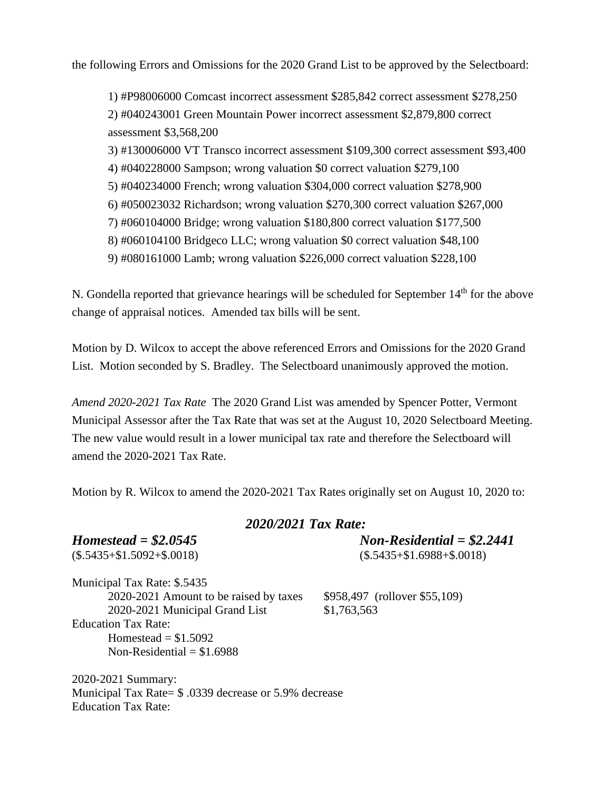the following Errors and Omissions for the 2020 Grand List to be approved by the Selectboard:

1) #P98006000 Comcast incorrect assessment \$285,842 correct assessment \$278,250 2) #040243001 Green Mountain Power incorrect assessment \$2,879,800 correct assessment \$3,568,200

3) #130006000 VT Transco incorrect assessment \$109,300 correct assessment \$93,400

- 4) #040228000 Sampson; wrong valuation \$0 correct valuation \$279,100
- 5) #040234000 French; wrong valuation \$304,000 correct valuation \$278,900
- 6) #050023032 Richardson; wrong valuation \$270,300 correct valuation \$267,000
- 7) #060104000 Bridge; wrong valuation \$180,800 correct valuation \$177,500
- 8) #060104100 Bridgeco LLC; wrong valuation \$0 correct valuation \$48,100
- 9) #080161000 Lamb; wrong valuation \$226,000 correct valuation \$228,100

N. Gondella reported that grievance hearings will be scheduled for September  $14<sup>th</sup>$  for the above change of appraisal notices. Amended tax bills will be sent.

Motion by D. Wilcox to accept the above referenced Errors and Omissions for the 2020 Grand List. Motion seconded by S. Bradley. The Selectboard unanimously approved the motion.

*Amend 2020-2021 Tax Rate* The 2020 Grand List was amended by Spencer Potter, Vermont Municipal Assessor after the Tax Rate that was set at the August 10, 2020 Selectboard Meeting. The new value would result in a lower municipal tax rate and therefore the Selectboard will amend the 2020-2021 Tax Rate.

Motion by R. Wilcox to amend the 2020-2021 Tax Rates originally set on August 10, 2020 to:

### *2020/2021 Tax Rate:*

*Homestead = \$2.0545 Non-Residential = \$2.2441*

 $($.5435 + $1.5092 + $.0018)$   $($.5435 + $1.6988 + $.0018)$ 

Municipal Tax Rate: \$.5435 2020-2021 Amount to be raised by taxes \$958,497 (rollover \$55,109) 2020-2021 Municipal Grand List \$1,763,563 Education Tax Rate: Homestead  $= $1.5092$ Non-Residential  $= $1.6988$ 

2020-2021 Summary: Municipal Tax Rate= \$ .0339 decrease or 5.9% decrease Education Tax Rate: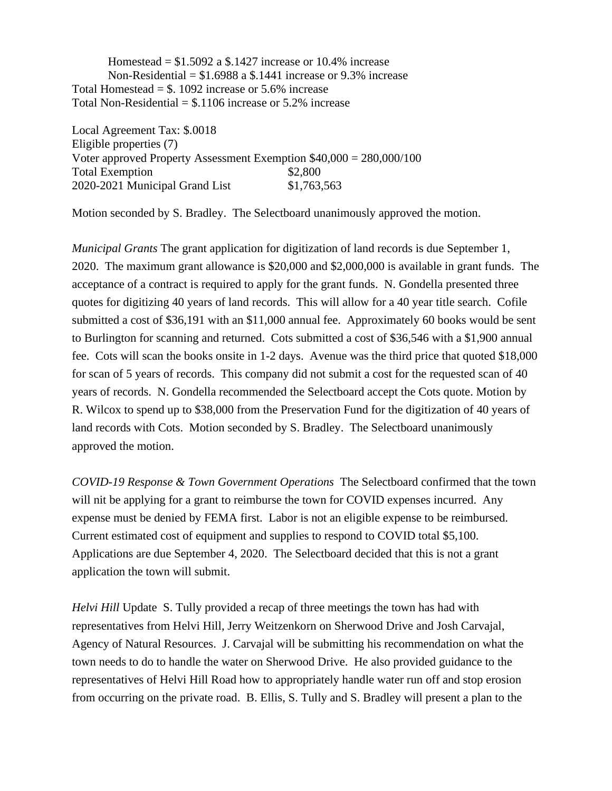Homestead  $= $1.5092$  a \$.1427 increase or 10.4% increase Non-Residential =  $$1.6988$  a  $$.1441$  increase or 9.3% increase Total Homestead  $=$  \$. 1092 increase or 5.6% increase Total Non-Residential  $=$  \$.1106 increase or 5.2% increase

Local Agreement Tax: \$.0018 Eligible properties (7) Voter approved Property Assessment Exemption \$40,000 = 280,000/100 Total Exemption  $$2,800$ 2020-2021 Municipal Grand List \$1,763,563

Motion seconded by S. Bradley. The Selectboard unanimously approved the motion.

*Municipal Grants* The grant application for digitization of land records is due September 1, 2020. The maximum grant allowance is \$20,000 and \$2,000,000 is available in grant funds. The acceptance of a contract is required to apply for the grant funds. N. Gondella presented three quotes for digitizing 40 years of land records. This will allow for a 40 year title search. Cofile submitted a cost of \$36,191 with an \$11,000 annual fee. Approximately 60 books would be sent to Burlington for scanning and returned. Cots submitted a cost of \$36,546 with a \$1,900 annual fee. Cots will scan the books onsite in 1-2 days. Avenue was the third price that quoted \$18,000 for scan of 5 years of records. This company did not submit a cost for the requested scan of 40 years of records. N. Gondella recommended the Selectboard accept the Cots quote. Motion by R. Wilcox to spend up to \$38,000 from the Preservation Fund for the digitization of 40 years of land records with Cots. Motion seconded by S. Bradley. The Selectboard unanimously approved the motion.

*COVID-19 Response & Town Government Operations* The Selectboard confirmed that the town will nit be applying for a grant to reimburse the town for COVID expenses incurred. Any expense must be denied by FEMA first. Labor is not an eligible expense to be reimbursed. Current estimated cost of equipment and supplies to respond to COVID total \$5,100. Applications are due September 4, 2020. The Selectboard decided that this is not a grant application the town will submit.

*Helvi Hill* Update S. Tully provided a recap of three meetings the town has had with representatives from Helvi Hill, Jerry Weitzenkorn on Sherwood Drive and Josh Carvajal, Agency of Natural Resources. J. Carvajal will be submitting his recommendation on what the town needs to do to handle the water on Sherwood Drive. He also provided guidance to the representatives of Helvi Hill Road how to appropriately handle water run off and stop erosion from occurring on the private road. B. Ellis, S. Tully and S. Bradley will present a plan to the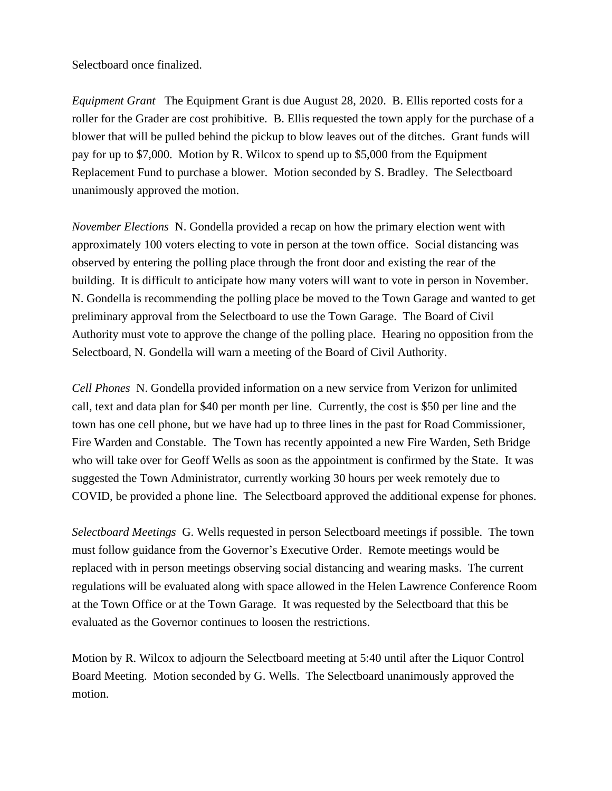Selectboard once finalized.

*Equipment Grant* The Equipment Grant is due August 28, 2020. B. Ellis reported costs for a roller for the Grader are cost prohibitive. B. Ellis requested the town apply for the purchase of a blower that will be pulled behind the pickup to blow leaves out of the ditches. Grant funds will pay for up to \$7,000. Motion by R. Wilcox to spend up to \$5,000 from the Equipment Replacement Fund to purchase a blower. Motion seconded by S. Bradley. The Selectboard unanimously approved the motion.

*November Elections* N. Gondella provided a recap on how the primary election went with approximately 100 voters electing to vote in person at the town office. Social distancing was observed by entering the polling place through the front door and existing the rear of the building. It is difficult to anticipate how many voters will want to vote in person in November. N. Gondella is recommending the polling place be moved to the Town Garage and wanted to get preliminary approval from the Selectboard to use the Town Garage. The Board of Civil Authority must vote to approve the change of the polling place. Hearing no opposition from the Selectboard, N. Gondella will warn a meeting of the Board of Civil Authority.

*Cell Phones* N. Gondella provided information on a new service from Verizon for unlimited call, text and data plan for \$40 per month per line. Currently, the cost is \$50 per line and the town has one cell phone, but we have had up to three lines in the past for Road Commissioner, Fire Warden and Constable. The Town has recently appointed a new Fire Warden, Seth Bridge who will take over for Geoff Wells as soon as the appointment is confirmed by the State. It was suggested the Town Administrator, currently working 30 hours per week remotely due to COVID, be provided a phone line. The Selectboard approved the additional expense for phones.

*Selectboard Meetings* G. Wells requested in person Selectboard meetings if possible. The town must follow guidance from the Governor's Executive Order. Remote meetings would be replaced with in person meetings observing social distancing and wearing masks. The current regulations will be evaluated along with space allowed in the Helen Lawrence Conference Room at the Town Office or at the Town Garage. It was requested by the Selectboard that this be evaluated as the Governor continues to loosen the restrictions.

Motion by R. Wilcox to adjourn the Selectboard meeting at 5:40 until after the Liquor Control Board Meeting. Motion seconded by G. Wells. The Selectboard unanimously approved the motion.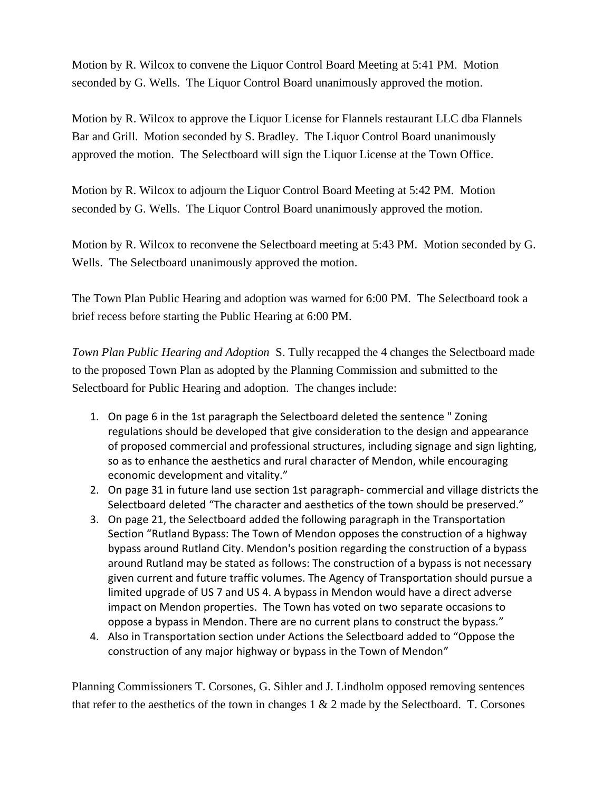Motion by R. Wilcox to convene the Liquor Control Board Meeting at 5:41 PM. Motion seconded by G. Wells. The Liquor Control Board unanimously approved the motion.

Motion by R. Wilcox to approve the Liquor License for Flannels restaurant LLC dba Flannels Bar and Grill. Motion seconded by S. Bradley. The Liquor Control Board unanimously approved the motion. The Selectboard will sign the Liquor License at the Town Office.

Motion by R. Wilcox to adjourn the Liquor Control Board Meeting at 5:42 PM. Motion seconded by G. Wells. The Liquor Control Board unanimously approved the motion.

Motion by R. Wilcox to reconvene the Selectboard meeting at 5:43 PM. Motion seconded by G. Wells. The Selectboard unanimously approved the motion.

The Town Plan Public Hearing and adoption was warned for 6:00 PM. The Selectboard took a brief recess before starting the Public Hearing at 6:00 PM.

*Town Plan Public Hearing and Adoption* S. Tully recapped the 4 changes the Selectboard made to the proposed Town Plan as adopted by the Planning Commission and submitted to the Selectboard for Public Hearing and adoption. The changes include:

- 1. On page 6 in the 1st paragraph the Selectboard deleted the sentence " Zoning regulations should be developed that give consideration to the design and appearance of proposed commercial and professional structures, including signage and sign lighting, so as to enhance the aesthetics and rural character of Mendon, while encouraging economic development and vitality."
- 2. On page 31 in future land use section 1st paragraph- commercial and village districts the Selectboard deleted "The character and aesthetics of the town should be preserved."
- 3. On page 21, the Selectboard added the following paragraph in the Transportation Section "Rutland Bypass: The Town of Mendon opposes the construction of a highway bypass around Rutland City. Mendon's position regarding the construction of a bypass around Rutland may be stated as follows: The construction of a bypass is not necessary given current and future traffic volumes. The Agency of Transportation should pursue a limited upgrade of US 7 and US 4. A bypass in Mendon would have a direct adverse impact on Mendon properties. The Town has voted on two separate occasions to oppose a bypass in Mendon. There are no current plans to construct the bypass."
- 4. Also in Transportation section under Actions the Selectboard added to "Oppose the construction of any major highway or bypass in the Town of Mendon"

Planning Commissioners T. Corsones, G. Sihler and J. Lindholm opposed removing sentences that refer to the aesthetics of the town in changes  $1 \& 2$  made by the Selectboard. T. Corsones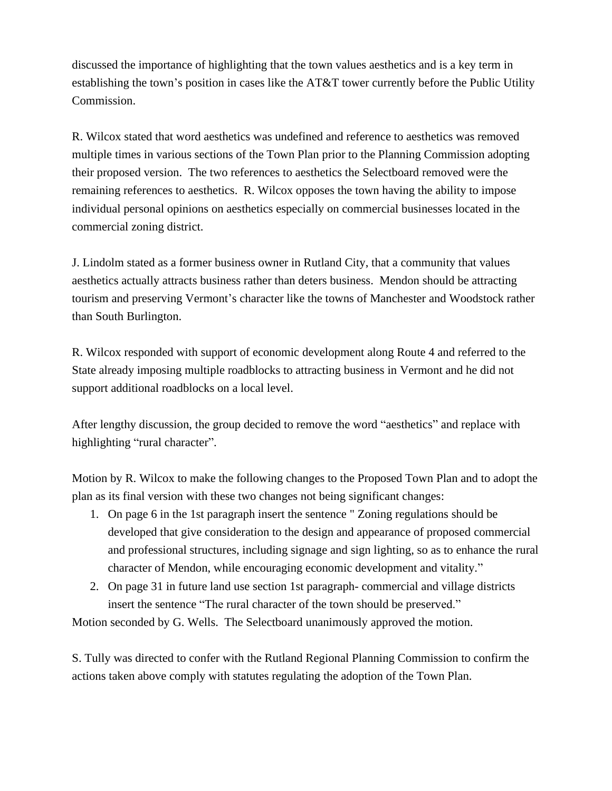discussed the importance of highlighting that the town values aesthetics and is a key term in establishing the town's position in cases like the AT&T tower currently before the Public Utility Commission.

R. Wilcox stated that word aesthetics was undefined and reference to aesthetics was removed multiple times in various sections of the Town Plan prior to the Planning Commission adopting their proposed version. The two references to aesthetics the Selectboard removed were the remaining references to aesthetics. R. Wilcox opposes the town having the ability to impose individual personal opinions on aesthetics especially on commercial businesses located in the commercial zoning district.

J. Lindolm stated as a former business owner in Rutland City, that a community that values aesthetics actually attracts business rather than deters business. Mendon should be attracting tourism and preserving Vermont's character like the towns of Manchester and Woodstock rather than South Burlington.

R. Wilcox responded with support of economic development along Route 4 and referred to the State already imposing multiple roadblocks to attracting business in Vermont and he did not support additional roadblocks on a local level.

After lengthy discussion, the group decided to remove the word "aesthetics" and replace with highlighting "rural character".

Motion by R. Wilcox to make the following changes to the Proposed Town Plan and to adopt the plan as its final version with these two changes not being significant changes:

- 1. On page 6 in the 1st paragraph insert the sentence " Zoning regulations should be developed that give consideration to the design and appearance of proposed commercial and professional structures, including signage and sign lighting, so as to enhance the rural character of Mendon, while encouraging economic development and vitality."
- 2. On page 31 in future land use section 1st paragraph- commercial and village districts insert the sentence "The rural character of the town should be preserved."

Motion seconded by G. Wells. The Selectboard unanimously approved the motion.

S. Tully was directed to confer with the Rutland Regional Planning Commission to confirm the actions taken above comply with statutes regulating the adoption of the Town Plan.